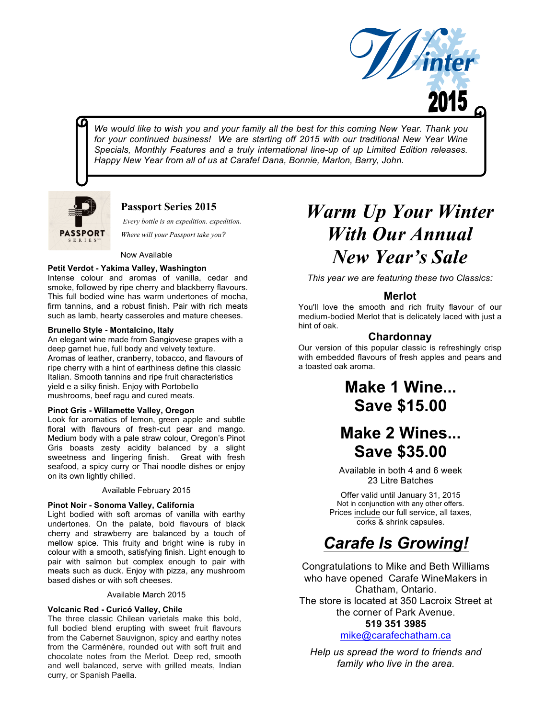

*We would like to wish you and your family all the best for this coming New Year. Thank you*  for your continued business! We are starting off 2015 with our traditional New Year Wine *Specials, Monthly Features and a truly international line-up of up Limited Edition releases. Happy New Year from all of us at Carafe! Dana, Bonnie, Marlon, Barry, John.*



## **Passport Series 2015**

*Every bottle is an expedition. expedition.*

*Where will your Passport take you?*

### Now Available

### **Petit Verdot - Yakima Valley, Washington**

Intense colour and aromas of vanilla, cedar and smoke, followed by ripe cherry and blackberry flavours. This full bodied wine has warm undertones of mocha, firm tannins, and a robust finish. Pair with rich meats such as lamb, hearty casseroles and mature cheeses.

### **Brunello Style - Montalcino, Italy**

An elegant wine made from Sangiovese grapes with a deep garnet hue, full body and velvety texture. Aromas of leather, cranberry, tobacco, and flavours of ripe cherry with a hint of earthiness define this classic Italian. Smooth tannins and ripe fruit characteristics yield e a silky finish. Enjoy with Portobello mushrooms, beef ragu and cured meats.

### **Pinot Gris - Willamette Valley, Oregon**

Look for aromatics of lemon, green apple and subtle floral with flavours of fresh-cut pear and mango. Medium body with a pale straw colour, Oregon's Pinot Gris boasts zesty acidity balanced by a slight sweetness and lingering finish. Great with fresh seafood, a spicy curry or Thai noodle dishes or enjoy on its own lightly chilled.

### Available February 2015

### **Pinot Noir - Sonoma Valley, California**

Light bodied with soft aromas of vanilla with earthy undertones. On the palate, bold flavours of black cherry and strawberry are balanced by a touch of mellow spice. This fruity and bright wine is ruby in colour with a smooth, satisfying finish. Light enough to pair with salmon but complex enough to pair with meats such as duck. Enjoy with pizza, any mushroom based dishes or with soft cheeses.

### Available March 2015

### **Volcanic Red - Curicó Valley, Chile**

The three classic Chilean varietals make this bold, full bodied blend erupting with sweet fruit flavours from the Cabernet Sauvignon, spicy and earthy notes from the Carménère, rounded out with soft fruit and chocolate notes from the Merlot. Deep red, smooth and well balanced, serve with grilled meats, Indian curry, or Spanish Paella.

# *Warm Up Your Winter With Our Annual New Year's Sale*

*This year we are featuring these two Classics:*

## **Merlot**

You'll love the smooth and rich fruity flavour of our medium-bodied Merlot that is delicately laced with just a hint of oak.

## **Chardonnay**

Our version of this popular classic is refreshingly crisp with embedded flavours of fresh apples and pears and a toasted oak aroma.

## **Make 1 Wine... Save \$15.00**

## **Make 2 Wines... Save \$35.00**

Available in both 4 and 6 week 23 Litre Batches

Offer valid until January 31, 2015 Not in conjunction with any other offers. Prices include our full service, all taxes, corks & shrink capsules.

## *Carafe Is Growing!*

Congratulations to Mike and Beth Williams who have opened Carafe WineMakers in Chatham, Ontario. The store is located at 350 Lacroix Street at the corner of Park Avenue. **519 351 3985**

## mike@carafechatham.ca

*Help us spread the word to friends and family who live in the area.*